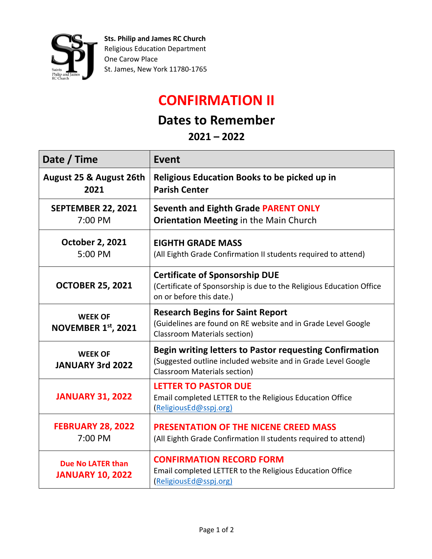

**Sts. Philip and James RC Church** Religious Education Department One Carow Place St. James, New York 11780-1765

## **CONFIRMATION II**

## **Dates to Remember**

**2021 – 2022**

| Date / Time                                         | <b>Event</b>                                                                                                                                                           |
|-----------------------------------------------------|------------------------------------------------------------------------------------------------------------------------------------------------------------------------|
| August 25 & August 26th<br>2021                     | Religious Education Books to be picked up in<br><b>Parish Center</b>                                                                                                   |
| <b>SEPTEMBER 22, 2021</b><br>7:00 PM                | <b>Seventh and Eighth Grade PARENT ONLY</b><br><b>Orientation Meeting in the Main Church</b>                                                                           |
| <b>October 2, 2021</b><br>5:00 PM                   | <b>EIGHTH GRADE MASS</b><br>(All Eighth Grade Confirmation II students required to attend)                                                                             |
| <b>OCTOBER 25, 2021</b>                             | <b>Certificate of Sponsorship DUE</b><br>(Certificate of Sponsorship is due to the Religious Education Office<br>on or before this date.)                              |
| <b>WEEK OF</b><br>NOVEMBER 1st, 2021                | <b>Research Begins for Saint Report</b><br>(Guidelines are found on RE website and in Grade Level Google<br><b>Classroom Materials section)</b>                        |
| <b>WEEK OF</b><br><b>JANUARY 3rd 2022</b>           | <b>Begin writing letters to Pastor requesting Confirmation</b><br>(Suggested outline included website and in Grade Level Google<br><b>Classroom Materials section)</b> |
| <b>JANUARY 31, 2022</b>                             | <b>LETTER TO PASTOR DUE</b><br>Email completed LETTER to the Religious Education Office<br>(ReligiousEd@sspj.org)                                                      |
| <b>FEBRUARY 28, 2022</b><br>7:00 PM                 | <b>PRESENTATION OF THE NICENE CREED MASS</b><br>(All Eighth Grade Confirmation II students required to attend)                                                         |
| <b>Due No LATER than</b><br><b>JANUARY 10, 2022</b> | <b>CONFIRMATION RECORD FORM</b><br>Email completed LETTER to the Religious Education Office<br>(ReligiousEd@sspj.org)                                                  |